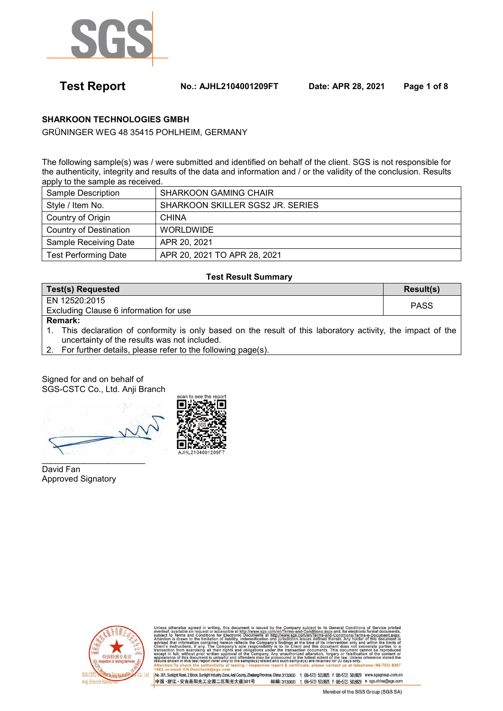

 **Test Report No.: AJHL2104001209FT Date: APR 28, 2021 Page 1 of 8** 

## **SHARKOON TECHNOLOGIES GMBH**

GRÜNINGER WEG 48 35415 POHLHEIM, GERMANY

The following sample(s) was / were submitted and identified on behalf of the client. SGS is not responsible for the authenticity, integrity and results of the data and information and / or the validity of the conclusion. Results apply to the sample as received.

| Sample Description          | <b>SHARKOON GAMING CHAIR</b>     |
|-----------------------------|----------------------------------|
| Style / Item No.            | SHARKOON SKILLER SGS2 JR. SERIES |
| Country of Origin           | <b>CHINA</b>                     |
| Country of Destination      | <b>WORLDWIDE</b>                 |
| Sample Receiving Date       | APR 20, 2021                     |
| <b>Test Performing Date</b> | APR 20, 2021 TO APR 28, 2021     |

#### **Test Result Summary**

| Test(s) Requested                      | Result(s)   |
|----------------------------------------|-------------|
| EN 12520:2015                          | <b>PASS</b> |
| Excluding Clause 6 information for use |             |
| <b>Remark:</b>                         |             |

1. This declaration of conformity is only based on the result of this laboratory activity, the impact of the uncertainty of the results was not included.

2. For further details, please refer to the following page(s).

Signed for and on behalf of SGS-CSTC Co., Ltd. Anji Branch

\_\_\_\_\_\_\_\_\_\_\_\_\_\_\_\_\_\_\_\_\_\_

David Fan Approved Signatory





ubject to its General Conditions of Service<br><u>Conditions aspx</u> and, for electronic format docur<br>New Terms-and-Conditions/Terms-e-Document<br>wes defined therein, Any holder of this docum<br>wes defined therein, Any holder of this in writing, this document is issued by t<br>est or accessible at <u>http://www.sgs.com/</u><br>ditions for Electronic Documents at http<br>mitation of liability, indemnification and he Company subje<br>en/Terms-and-Cond<br>Www.sgs.com/en.jurisdiction Sectionic Documents at<br>Electronic Documents at<br>Fliability, indemnification<br>ereon reflects the Compan dings at ne of its<br>this do only an ntervention only<br>ument does not<br>This document<br>proery or falsific y's sole responsibility is to its Client and this document does not a<br>s and obligations under the transaction documents. This document of<br>rai of the Company. Any unauthorized alteration, forgery or falsificat<br>and offenders , without prior written approval of t<br>of this document is unlawful and offe<br>in this test report refer only to the sa hono: (86,755) 8307

邮编:313300 t (86-572) 5018825 f (86-572) 5018829 e sgs.china@sgs.com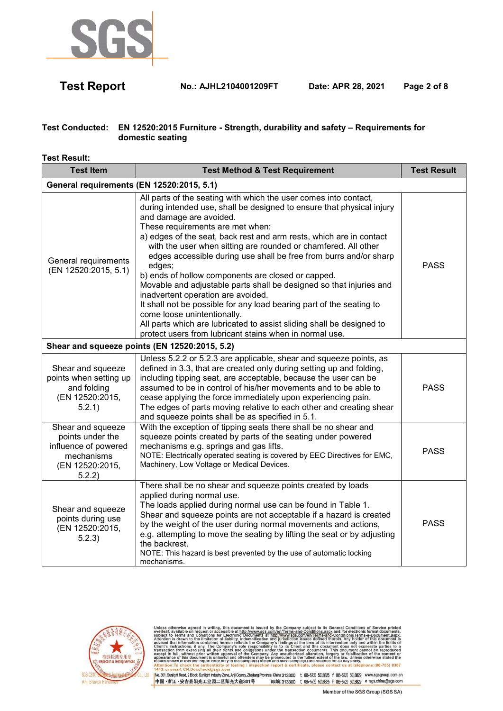

 **Test Report No.: AJHL2104001209FT Date: APR 28, 2021 Page 2 of 8** 

### **Test Conducted: EN 12520:2015 Furniture - Strength, durability and safety – Requirements for domestic seating**

**Test Result:** 

| <b>Test Item</b>                                                                                         | <b>Test Method &amp; Test Requirement</b>                                                                                                                                                                                                                                                                                                                                                                                                                                                                                                                                                                                                                                                                                                                                                                                                      | <b>Test Result</b> |
|----------------------------------------------------------------------------------------------------------|------------------------------------------------------------------------------------------------------------------------------------------------------------------------------------------------------------------------------------------------------------------------------------------------------------------------------------------------------------------------------------------------------------------------------------------------------------------------------------------------------------------------------------------------------------------------------------------------------------------------------------------------------------------------------------------------------------------------------------------------------------------------------------------------------------------------------------------------|--------------------|
| General requirements (EN 12520:2015, 5.1)                                                                |                                                                                                                                                                                                                                                                                                                                                                                                                                                                                                                                                                                                                                                                                                                                                                                                                                                |                    |
| General requirements<br>(EN 12520:2015, 5.1)                                                             | All parts of the seating with which the user comes into contact,<br>during intended use, shall be designed to ensure that physical injury<br>and damage are avoided.<br>These requirements are met when:<br>a) edges of the seat, back rest and arm rests, which are in contact<br>with the user when sitting are rounded or chamfered. All other<br>edges accessible during use shall be free from burrs and/or sharp<br>edges;<br>b) ends of hollow components are closed or capped.<br>Movable and adjustable parts shall be designed so that injuries and<br>inadvertent operation are avoided.<br>It shall not be possible for any load bearing part of the seating to<br>come loose unintentionally.<br>All parts which are lubricated to assist sliding shall be designed to<br>protect users from lubricant stains when in normal use. | <b>PASS</b>        |
|                                                                                                          | Shear and squeeze points (EN 12520:2015, 5.2)                                                                                                                                                                                                                                                                                                                                                                                                                                                                                                                                                                                                                                                                                                                                                                                                  |                    |
| Shear and squeeze<br>points when setting up<br>and folding<br>(EN 12520:2015,<br>5.2.1)                  | Unless 5.2.2 or 5.2.3 are applicable, shear and squeeze points, as<br>defined in 3.3, that are created only during setting up and folding,<br>including tipping seat, are acceptable, because the user can be<br>assumed to be in control of his/her movements and to be able to<br>cease applying the force immediately upon experiencing pain.<br>The edges of parts moving relative to each other and creating shear<br>and squeeze points shall be as specified in 5.1.                                                                                                                                                                                                                                                                                                                                                                    | <b>PASS</b>        |
| Shear and squeeze<br>points under the<br>influence of powered<br>mechanisms<br>(EN 12520:2015,<br>5.2.2) | With the exception of tipping seats there shall be no shear and<br>squeeze points created by parts of the seating under powered<br>mechanisms e.g. springs and gas lifts.<br>NOTE: Electrically operated seating is covered by EEC Directives for EMC,<br>Machinery, Low Voltage or Medical Devices.                                                                                                                                                                                                                                                                                                                                                                                                                                                                                                                                           | <b>PASS</b>        |
| Shear and squeeze<br>points during use<br>(EN 12520:2015,<br>5.2.3)                                      | There shall be no shear and squeeze points created by loads<br>applied during normal use.<br>The loads applied during normal use can be found in Table 1.<br>Shear and squeeze points are not acceptable if a hazard is created<br>by the weight of the user during normal movements and actions,<br>e.g. attempting to move the seating by lifting the seat or by adjusting<br>the backrest.<br>NOTE: This hazard is best prevented by the use of automatic locking<br>mechanisms.                                                                                                                                                                                                                                                                                                                                                            | <b>PASS</b>        |



otherwise agreed in writing, this document is issued by the Company subject to its General Conditions of Service printed<br>t, a falled on request on reconsible at the *Maxwenga commemoids* of the first state of the electroni transa appearan hone: (86-755) 8307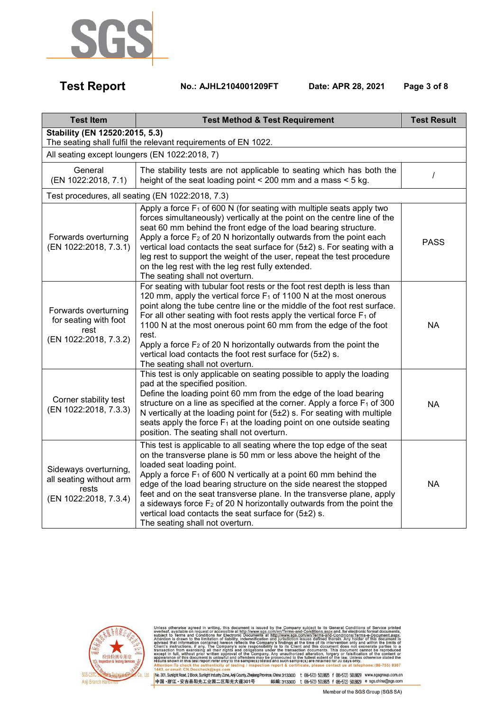

 **Test Report No.: AJHL2104001209FT Date: APR 28, 2021 Page 3 of 8** 

| <b>Test Item</b>                                                                                 | <b>Test Method &amp; Test Requirement</b>                                                                                                                                                                                                                                                                                                                                                                                                                                                                                                                           | <b>Test Result</b> |
|--------------------------------------------------------------------------------------------------|---------------------------------------------------------------------------------------------------------------------------------------------------------------------------------------------------------------------------------------------------------------------------------------------------------------------------------------------------------------------------------------------------------------------------------------------------------------------------------------------------------------------------------------------------------------------|--------------------|
| Stability (EN 12520:2015, 5.3)<br>The seating shall fulfil the relevant requirements of EN 1022. |                                                                                                                                                                                                                                                                                                                                                                                                                                                                                                                                                                     |                    |
| All seating except loungers (EN 1022:2018, 7)                                                    |                                                                                                                                                                                                                                                                                                                                                                                                                                                                                                                                                                     |                    |
| General<br>(EN 1022:2018, 7.1)                                                                   | The stability tests are not applicable to seating which has both the<br>height of the seat loading point < 200 mm and a mass < 5 kg.                                                                                                                                                                                                                                                                                                                                                                                                                                | I                  |
|                                                                                                  | Test procedures, all seating (EN 1022:2018, 7.3)                                                                                                                                                                                                                                                                                                                                                                                                                                                                                                                    |                    |
| Forwards overturning<br>(EN 1022:2018, 7.3.1)                                                    | Apply a force $F_1$ of 600 N (for seating with multiple seats apply two<br>forces simultaneously) vertically at the point on the centre line of the<br>seat 60 mm behind the front edge of the load bearing structure.<br>Apply a force $F_2$ of 20 N horizontally outwards from the point each<br>vertical load contacts the seat surface for (5±2) s. For seating with a<br>leg rest to support the weight of the user, repeat the test procedure<br>on the leg rest with the leg rest fully extended.<br>The seating shall not overturn.                         | <b>PASS</b>        |
| Forwards overturning<br>for seating with foot<br>rest<br>(EN 1022:2018, 7.3.2)                   | For seating with tubular foot rests or the foot rest depth is less than<br>120 mm, apply the vertical force $F_1$ of 1100 N at the most onerous<br>point along the tube centre line or the middle of the foot rest surface.<br>For all other seating with foot rests apply the vertical force $F_1$ of<br>1100 N at the most onerous point 60 mm from the edge of the foot<br>rest.<br>Apply a force $F_2$ of 20 N horizontally outwards from the point the<br>vertical load contacts the foot rest surface for (5±2) s.<br>The seating shall not overturn.         | <b>NA</b>          |
| Corner stability test<br>(EN 1022:2018, 7.3.3)                                                   | This test is only applicable on seating possible to apply the loading<br>pad at the specified position.<br>Define the loading point 60 mm from the edge of the load bearing<br>structure on a line as specified at the corner. Apply a force $F_1$ of 300<br>N vertically at the loading point for (5±2) s. For seating with multiple<br>seats apply the force $F_1$ at the loading point on one outside seating<br>position. The seating shall not overturn.                                                                                                       | <b>NA</b>          |
| Sideways overturning,<br>all seating without arm<br>rests<br>(EN 1022:2018, 7.3.4)               | This test is applicable to all seating where the top edge of the seat<br>on the transverse plane is 50 mm or less above the height of the<br>loaded seat loading point.<br>Apply a force $F_1$ of 600 N vertically at a point 60 mm behind the<br>edge of the load bearing structure on the side nearest the stopped<br>feet and on the seat transverse plane. In the transverse plane, apply<br>a sideways force $F_2$ of 20 N horizontally outwards from the point the<br>vertical load contacts the seat surface for (5±2) s.<br>The seating shall not overturn. | <b>NA</b>          |



Unless otherwise agreed in writing, this document is issued by the Company subject to its General Conditions of Service printed overleaf, available on request or accessible at http://www.sgs.com/en/Terms-and-Conditions.as hone: (86-755) 8307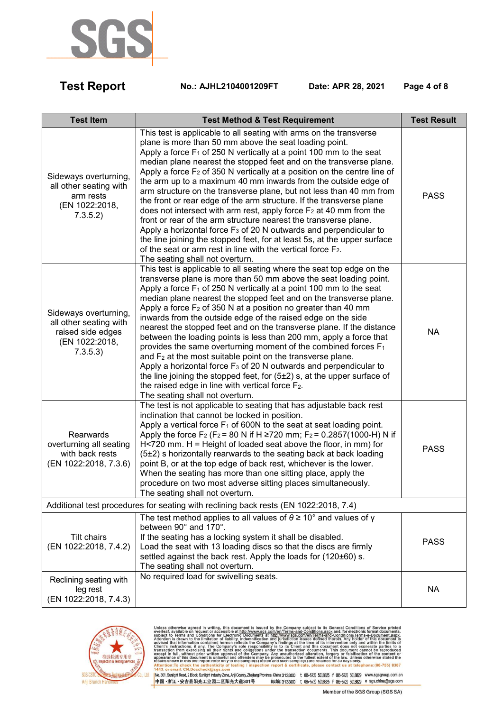

 **Test Report No.: AJHL2104001209FT Date: APR 28, 2021 Page 4 of 8** 

| <b>Test Item</b>                                                                                   | <b>Test Method &amp; Test Requirement</b>                                                                                                                                                                                                                                                                                                                                                                                                                                                                                                                                                                                                                                                                                                                                                                                                                                                                                                                                          | <b>Test Result</b> |
|----------------------------------------------------------------------------------------------------|------------------------------------------------------------------------------------------------------------------------------------------------------------------------------------------------------------------------------------------------------------------------------------------------------------------------------------------------------------------------------------------------------------------------------------------------------------------------------------------------------------------------------------------------------------------------------------------------------------------------------------------------------------------------------------------------------------------------------------------------------------------------------------------------------------------------------------------------------------------------------------------------------------------------------------------------------------------------------------|--------------------|
| Sideways overturning,<br>all other seating with<br>arm rests<br>(EN 1022:2018,<br>7.3.5.2)         | This test is applicable to all seating with arms on the transverse<br>plane is more than 50 mm above the seat loading point.<br>Apply a force $F_1$ of 250 N vertically at a point 100 mm to the seat<br>median plane nearest the stopped feet and on the transverse plane.<br>Apply a force $F_2$ of 350 N vertically at a position on the centre line of<br>the arm up to a maximum 40 mm inwards from the outside edge of<br>arm structure on the transverse plane, but not less than 40 mm from<br>the front or rear edge of the arm structure. If the transverse plane<br>does not intersect with arm rest, apply force $F_2$ at 40 mm from the<br>front or rear of the arm structure nearest the transverse plane.<br>Apply a horizontal force $F_3$ of 20 N outwards and perpendicular to<br>the line joining the stopped feet, for at least 5s, at the upper surface<br>of the seat or arm rest in line with the vertical force $F_2$ .<br>The seating shall not overturn. | <b>PASS</b>        |
| Sideways overturning,<br>all other seating with<br>raised side edges<br>(EN 1022:2018,<br>7.3.5.3) | This test is applicable to all seating where the seat top edge on the<br>transverse plane is more than 50 mm above the seat loading point.<br>Apply a force $F_1$ of 250 N vertically at a point 100 mm to the seat<br>median plane nearest the stopped feet and on the transverse plane.<br>Apply a force $F_2$ of 350 N at a position no greater than 40 mm<br>inwards from the outside edge of the raised edge on the side<br>nearest the stopped feet and on the transverse plane. If the distance<br>between the loading points is less than 200 mm, apply a force that<br>provides the same overturning moment of the combined forces F <sub>1</sub><br>and $F_2$ at the most suitable point on the transverse plane.<br>Apply a horizontal force $F_3$ of 20 N outwards and perpendicular to<br>the line joining the stopped feet, for $(5±2)$ s, at the upper surface of<br>the raised edge in line with vertical force $F_2$ .<br>The seating shall not overturn.         | <b>NA</b>          |
| Rearwards<br>overturning all seating<br>with back rests<br>(EN 1022:2018, 7.3.6)                   | The test is not applicable to seating that has adjustable back rest<br>inclination that cannot be locked in position.<br>Apply a vertical force $F_1$ of 600N to the seat at seat loading point.<br>Apply the force F <sub>2</sub> (F <sub>2</sub> = 80 N if H $\geq$ 720 mm; F <sub>2</sub> = 0.2857(1000-H) N if<br>$H<$ 720 mm. H = Height of loaded seat above the floor, in mm) for<br>(5±2) s horizontally rearwards to the seating back at back loading<br>point B, or at the top edge of back rest, whichever is the lower.<br>When the seating has more than one sitting place, apply the<br>procedure on two most adverse sitting places simultaneously.<br>The seating shall not overturn.                                                                                                                                                                                                                                                                              | <b>PASS</b>        |
| Additional test procedures for seating with reclining back rests (EN 1022:2018, 7.4)               |                                                                                                                                                                                                                                                                                                                                                                                                                                                                                                                                                                                                                                                                                                                                                                                                                                                                                                                                                                                    |                    |
| Tilt chairs<br>(EN 1022:2018, 7.4.2)                                                               | The test method applies to all values of $\theta \ge 10^{\circ}$ and values of y<br>between 90° and 170°.<br>If the seating has a locking system it shall be disabled.<br>Load the seat with 13 loading discs so that the discs are firmly<br>settled against the back rest. Apply the loads for (120±60) s.<br>The seating shall not overturn.                                                                                                                                                                                                                                                                                                                                                                                                                                                                                                                                                                                                                                    | <b>PASS</b>        |
| Reclining seating with<br>leg rest<br>(EN 1022:2018, 7.4.3)                                        | No required load for swivelling seats.                                                                                                                                                                                                                                                                                                                                                                                                                                                                                                                                                                                                                                                                                                                                                                                                                                                                                                                                             | <b>NA</b>          |



Unless otherwise agreed in writing, this document is issued by the Company subject to its General Conditions of Service printed overleaf, available on request or accessible at http://www.sgs.com/en/Terms-and-Conditions.as hone: (86-755) 8307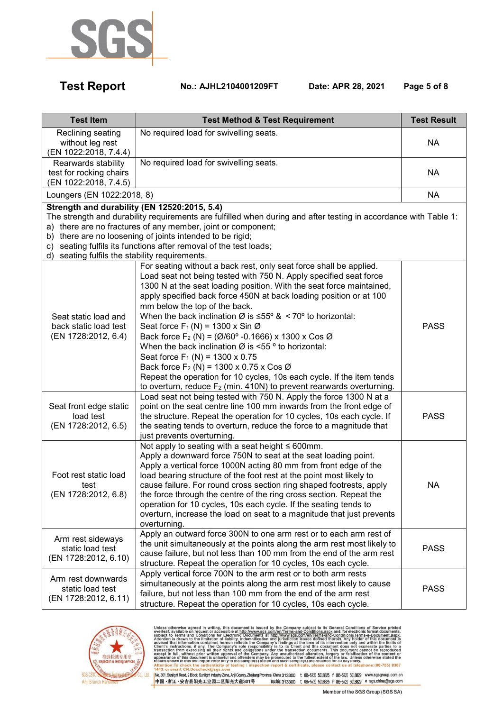

 **Test Report No.: AJHL2104001209FT Date: APR 28, 2021 Page 5 of 8** 

| <b>Test Item</b>                                                                                                                                                                                                                                                                                                                                                                                                     | <b>Test Method &amp; Test Requirement</b>                                                                                                                                                                                                                                                                                                                                                                                                                                                                                                                                                                                                                                                                                                                                                                                                                                                    | <b>Test Result</b> |
|----------------------------------------------------------------------------------------------------------------------------------------------------------------------------------------------------------------------------------------------------------------------------------------------------------------------------------------------------------------------------------------------------------------------|----------------------------------------------------------------------------------------------------------------------------------------------------------------------------------------------------------------------------------------------------------------------------------------------------------------------------------------------------------------------------------------------------------------------------------------------------------------------------------------------------------------------------------------------------------------------------------------------------------------------------------------------------------------------------------------------------------------------------------------------------------------------------------------------------------------------------------------------------------------------------------------------|--------------------|
| Reclining seating<br>without leg rest<br>(EN 1022:2018, 7.4.4)                                                                                                                                                                                                                                                                                                                                                       | No required load for swivelling seats.                                                                                                                                                                                                                                                                                                                                                                                                                                                                                                                                                                                                                                                                                                                                                                                                                                                       | <b>NA</b>          |
| Rearwards stability<br>test for rocking chairs<br>(EN 1022:2018, 7.4.5)                                                                                                                                                                                                                                                                                                                                              | No required load for swivelling seats.                                                                                                                                                                                                                                                                                                                                                                                                                                                                                                                                                                                                                                                                                                                                                                                                                                                       | <b>NA</b>          |
| Loungers (EN 1022:2018, 8)                                                                                                                                                                                                                                                                                                                                                                                           |                                                                                                                                                                                                                                                                                                                                                                                                                                                                                                                                                                                                                                                                                                                                                                                                                                                                                              | <b>NA</b>          |
| Strength and durability (EN 12520:2015, 5.4)<br>The strength and durability requirements are fulfilled when during and after testing in accordance with Table 1:<br>a) there are no fractures of any member, joint or component;<br>b) there are no loosening of joints intended to be rigid;<br>c) seating fulfils its functions after removal of the test loads;<br>d) seating fulfils the stability requirements. |                                                                                                                                                                                                                                                                                                                                                                                                                                                                                                                                                                                                                                                                                                                                                                                                                                                                                              |                    |
| Seat static load and<br>back static load test<br>(EN 1728:2012, 6.4)                                                                                                                                                                                                                                                                                                                                                 | For seating without a back rest, only seat force shall be applied.<br>Load seat not being tested with 750 N. Apply specified seat force<br>1300 N at the seat loading position. With the seat force maintained,<br>apply specified back force 450N at back loading position or at 100<br>mm below the top of the back.<br>When the back inclination $\varnothing$ is $\leq 55^{\circ}$ & < 70° to horizontal:<br>Seat force $F_1(N) = 1300 \times \sin \emptyset$<br>Back force F <sub>2</sub> (N) = ( $\emptyset$ /60° -0.1666) x 1300 x Cos $\emptyset$<br>When the back inclination $\varnothing$ is <55 ° to horizontal:<br>Seat force $F_1(N) = 1300 \times 0.75$<br>Back force $F_2(N) = 1300 \times 0.75 \times \cos \varnothing$<br>Repeat the operation for 10 cycles, 10s each cycle. If the item tends<br>to overturn, reduce $F_2$ (min. 410N) to prevent rearwards overturning. | <b>PASS</b>        |
| Seat front edge static<br>load test<br>(EN 1728:2012, 6.5)                                                                                                                                                                                                                                                                                                                                                           | Load seat not being tested with 750 N. Apply the force 1300 N at a<br>point on the seat centre line 100 mm inwards from the front edge of<br>the structure. Repeat the operation for 10 cycles, 10s each cycle. If<br>the seating tends to overturn, reduce the force to a magnitude that<br>just prevents overturning.                                                                                                                                                                                                                                                                                                                                                                                                                                                                                                                                                                      | <b>PASS</b>        |
| Foot rest static load<br>test<br>(EN 1728:2012, 6.8)                                                                                                                                                                                                                                                                                                                                                                 | Not apply to seating with a seat height $\leq 600$ mm.<br>Apply a downward force 750N to seat at the seat loading point.<br>Apply a vertical force 1000N acting 80 mm from front edge of the<br>load bearing structure of the foot rest at the point most likely to<br>cause failure. For round cross section ring shaped footrests, apply<br>the force through the centre of the ring cross section. Repeat the<br>operation for 10 cycles, 10s each cycle. If the seating tends to<br>overturn, increase the load on seat to a magnitude that just prevents<br>overturning.                                                                                                                                                                                                                                                                                                                | <b>NA</b>          |
| Arm rest sideways<br>static load test<br>(EN 1728:2012, 6.10)                                                                                                                                                                                                                                                                                                                                                        | Apply an outward force 300N to one arm rest or to each arm rest of<br>the unit simultaneously at the points along the arm rest most likely to<br>cause failure, but not less than 100 mm from the end of the arm rest<br>structure. Repeat the operation for 10 cycles, 10s each cycle.                                                                                                                                                                                                                                                                                                                                                                                                                                                                                                                                                                                                      | <b>PASS</b>        |
| Arm rest downwards<br>static load test<br>(EN 1728:2012, 6.11)                                                                                                                                                                                                                                                                                                                                                       | Apply vertical force 700N to the arm rest or to both arm rests<br>simultaneously at the points along the arm rest most likely to cause<br>failure, but not less than 100 mm from the end of the arm rest<br>structure. Repeat the operation for 10 cycles, 10s each cycle.                                                                                                                                                                                                                                                                                                                                                                                                                                                                                                                                                                                                                   | <b>PASS</b>        |



Unless otherwise agreed in writing, this document is issued by the Company subject to its General Conditions of Service printed overleaf, available on request or accessible at http://www.sgs.com/en/Terms-and-Conditions.as hone: (86-755) 8307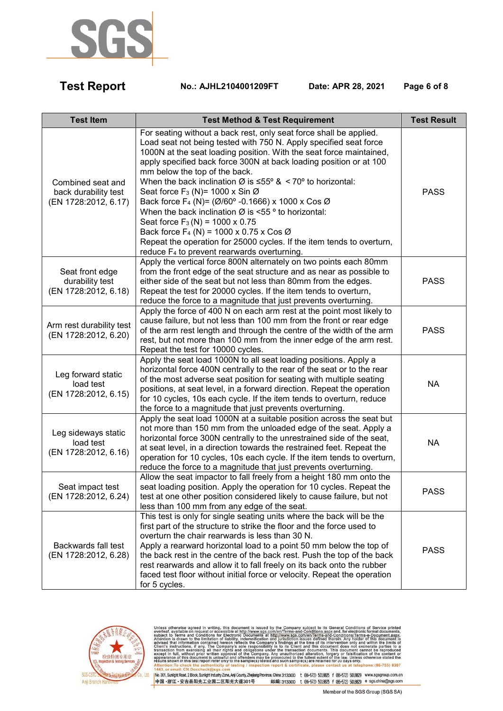

 **Test Report No.: AJHL2104001209FT Date: APR 28, 2021 Page 6 of 8** 

| <b>Test Item</b>                                                  | <b>Test Method &amp; Test Requirement</b>                                                                                                                                                                                                                                                                                                                                                                                                                                                                                                                                                                                                                                                                                                                                                                                      | <b>Test Result</b> |
|-------------------------------------------------------------------|--------------------------------------------------------------------------------------------------------------------------------------------------------------------------------------------------------------------------------------------------------------------------------------------------------------------------------------------------------------------------------------------------------------------------------------------------------------------------------------------------------------------------------------------------------------------------------------------------------------------------------------------------------------------------------------------------------------------------------------------------------------------------------------------------------------------------------|--------------------|
| Combined seat and<br>back durability test<br>(EN 1728:2012, 6.17) | For seating without a back rest, only seat force shall be applied.<br>Load seat not being tested with 750 N. Apply specified seat force<br>1000N at the seat loading position. With the seat force maintained,<br>apply specified back force 300N at back loading position or at 100<br>mm below the top of the back.<br>When the back inclination $\varnothing$ is $\leq 55^{\circ}$ & < 70° to horizontal:<br>Seat force $F_3$ (N)= 1000 x Sin Ø<br>Back force F <sub>4</sub> (N)= ( $\emptyset$ /60° -0.1666) x 1000 x Cos Ø<br>When the back inclination $\varnothing$ is <55 ° to horizontal:<br>Seat force $F_3(N) = 1000 \times 0.75$<br>Back force $F_4$ (N) = 1000 x 0.75 x Cos Ø<br>Repeat the operation for 25000 cycles. If the item tends to overturn,<br>reduce F <sub>4</sub> to prevent rearwards overturning. | <b>PASS</b>        |
| Seat front edge<br>durability test<br>(EN 1728:2012, 6.18)        | Apply the vertical force 800N alternately on two points each 80mm<br>from the front edge of the seat structure and as near as possible to<br>either side of the seat but not less than 80mm from the edges.<br>Repeat the test for 20000 cycles. If the item tends to overturn,<br>reduce the force to a magnitude that just prevents overturning.                                                                                                                                                                                                                                                                                                                                                                                                                                                                             | <b>PASS</b>        |
| Arm rest durability test<br>(EN 1728:2012, 6.20)                  | Apply the force of 400 N on each arm rest at the point most likely to<br>cause failure, but not less than 100 mm from the front or rear edge<br>of the arm rest length and through the centre of the width of the arm<br>rest, but not more than 100 mm from the inner edge of the arm rest.<br>Repeat the test for 10000 cycles.                                                                                                                                                                                                                                                                                                                                                                                                                                                                                              | <b>PASS</b>        |
| Leg forward static<br>load test<br>(EN 1728:2012, 6.15)           | Apply the seat load 1000N to all seat loading positions. Apply a<br>horizontal force 400N centrally to the rear of the seat or to the rear<br>of the most adverse seat position for seating with multiple seating<br>positions, at seat level, in a forward direction. Repeat the operation<br>for 10 cycles, 10s each cycle. If the item tends to overturn, reduce<br>the force to a magnitude that just prevents overturning.                                                                                                                                                                                                                                                                                                                                                                                                | <b>NA</b>          |
| Leg sideways static<br>load test<br>(EN 1728:2012, 6.16)          | Apply the seat load 1000N at a suitable position across the seat but<br>not more than 150 mm from the unloaded edge of the seat. Apply a<br>horizontal force 300N centrally to the unrestrained side of the seat,<br>at seat level, in a direction towards the restrained feet. Repeat the<br>operation for 10 cycles, 10s each cycle. If the item tends to overturn,<br>reduce the force to a magnitude that just prevents overturning.                                                                                                                                                                                                                                                                                                                                                                                       | <b>NA</b>          |
| Seat impact test<br>(EN 1728:2012, 6.24)                          | Allow the seat impactor to fall freely from a height 180 mm onto the<br>seat loading position. Apply the operation for 10 cycles. Repeat the<br>test at one other position considered likely to cause failure, but not<br>less than 100 mm from any edge of the seat.                                                                                                                                                                                                                                                                                                                                                                                                                                                                                                                                                          | <b>PASS</b>        |
| Backwards fall test<br>(EN 1728:2012, 6.28)                       | This test is only for single seating units where the back will be the<br>first part of the structure to strike the floor and the force used to<br>overturn the chair rearwards is less than 30 N.<br>Apply a rearward horizontal load to a point 50 mm below the top of<br>the back rest in the centre of the back rest. Push the top of the back<br>rest rearwards and allow it to fall freely on its back onto the rubber<br>faced test floor without initial force or velocity. Repeat the operation<br>for 5 cycles.                                                                                                                                                                                                                                                                                                       | <b>PASS</b>        |



Unless otherwise agreed in writing, this document is issued by the Company subject to its General Conditions of Service printed overleaf, available on request or accessible at http://www.sgs.com/en/Terms-and-Conditions.as hone: (86-755) 8307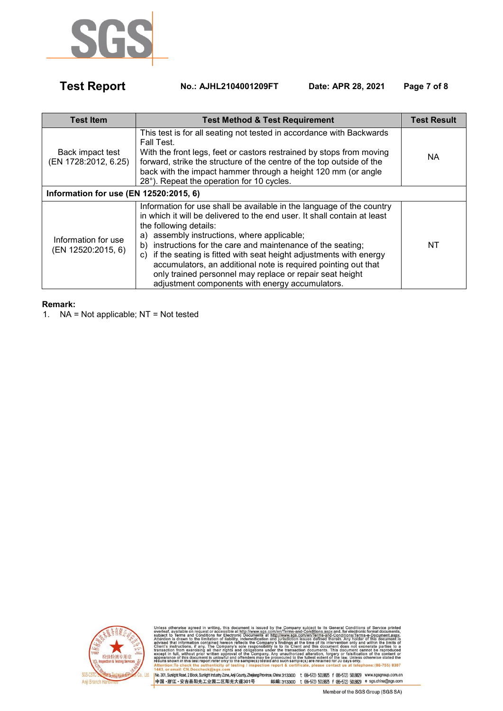

 **Test Report No.: AJHL2104001209FT Date: APR 28, 2021 Page 7 of 8** 

| <b>Test Item</b>                          | <b>Test Method &amp; Test Requirement</b>                                                                                                                                                                                                                                                                                                                                                                                                                                                                                                                    | <b>Test Result</b> |
|-------------------------------------------|--------------------------------------------------------------------------------------------------------------------------------------------------------------------------------------------------------------------------------------------------------------------------------------------------------------------------------------------------------------------------------------------------------------------------------------------------------------------------------------------------------------------------------------------------------------|--------------------|
| Back impact test<br>(EN 1728:2012, 6.25)  | This test is for all seating not tested in accordance with Backwards<br>Fall Test.<br>With the front legs, feet or castors restrained by stops from moving<br>forward, strike the structure of the centre of the top outside of the<br>back with the impact hammer through a height 120 mm (or angle<br>28°). Repeat the operation for 10 cycles.                                                                                                                                                                                                            | NA.                |
| Information for use (EN 12520:2015, 6)    |                                                                                                                                                                                                                                                                                                                                                                                                                                                                                                                                                              |                    |
| Information for use<br>(EN 12520:2015, 6) | Information for use shall be available in the language of the country<br>in which it will be delivered to the end user. It shall contain at least<br>the following details:<br>assembly instructions, where applicable;<br>a)<br>instructions for the care and maintenance of the seating;<br>b)<br>if the seating is fitted with seat height adjustments with energy<br>C)<br>accumulators, an additional note is required pointing out that<br>only trained personnel may replace or repair seat height<br>adjustment components with energy accumulators. | NT                 |

### **Remark:**

1. NA = Not applicable; NT = Not tested



Unless otherwise agreed in writing, this document is issued by the Company subject to its General Conditions of Service printed overleaf, available on request or accessible at http://www.sgs.com/en/Terms-and-Conditions.as hone: (86-755) 8307